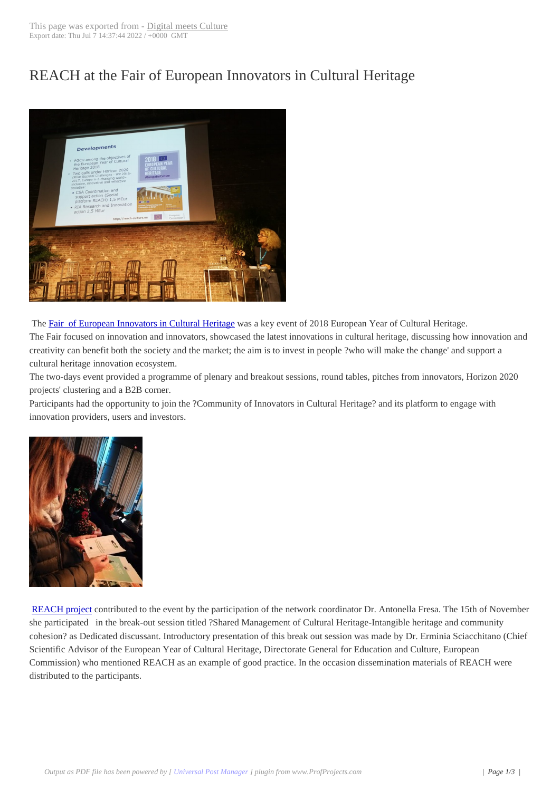## REACH at the Fair [of European I](http://www.digitalmeetsculture.net/?p=50019)nnovators in Cultural Heritage



 The Fair of European Innovators in Cultural Heritage was a key event of 2018 European Year of Cultural Heritage. The Fair focused on innovation and innovators, showcased the latest innovations in cultural heritage, discussing how innovation and creativity can benefit both the society and the market; the aim is to invest in people ?who will make the change' and support a cultural heritage innovation ecosystem.

The [two-days event provided a programme of plenary a](https://www.eac-events.eu/ehome/fairofeuropeaninnovatorsinculturalheritage/home/)nd breakout sessions, round tables, pitches from innovators, Horizon 2020 projects' clustering and a B2B corner.

Participants had the opportunity to join the ?Community of Innovators in Cultural Heritage? and its platform to engage with innovation providers, users and investors.



REACH project contributed to the event by the participation of the network coordinator Dr. Antonella Fresa. The 15th of November she participated in the break-out session titled ?Shared Management of Cultural Heritage-Intangible heritage and community cohesion? as Dedicated discussant. Introductory presentation of this break out session was made by Dr. Erminia Sciacchitano (Chief Scientific Advisor of the European Year of Cultural Heritage, Directorate General for Education and Culture, European [Commission\) wh](https://www.reach-culture.eu/)o mentioned REACH as an example of good practice. In the occasion dissemination materials of REACH were distributed to the participants.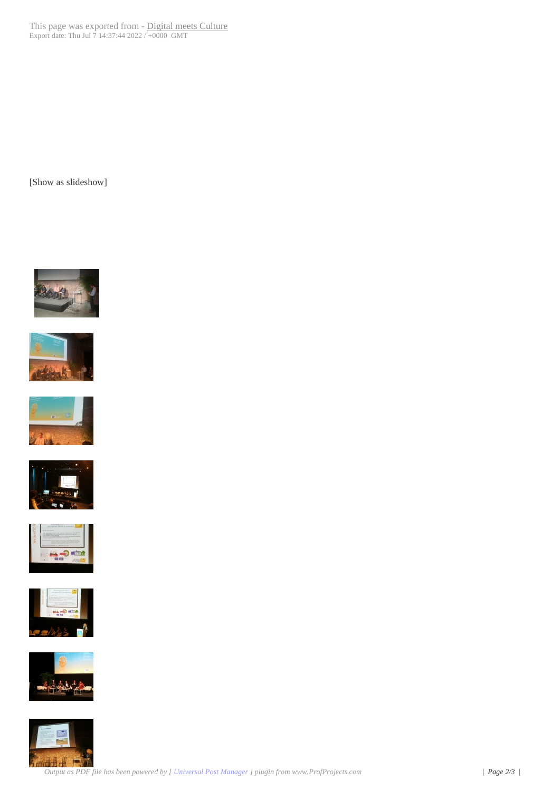[Show as slideshow]